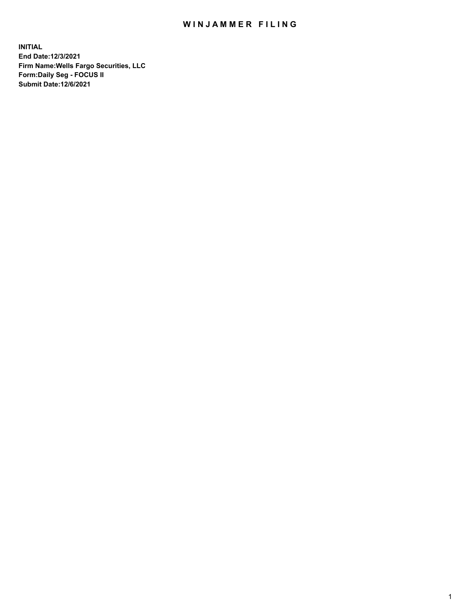## WIN JAMMER FILING

**INITIAL End Date:12/3/2021 Firm Name:Wells Fargo Securities, LLC Form:Daily Seg - FOCUS II Submit Date:12/6/2021**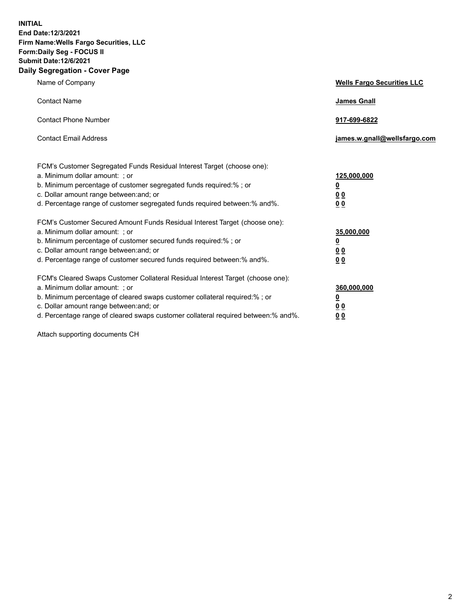**INITIAL End Date:12/3/2021 Firm Name:Wells Fargo Securities, LLC Form:Daily Seg - FOCUS II Submit Date:12/6/2021 Daily Segregation - Cover Page**

| Name of Company                                                                                                                                                                                                                                                                                                                | <b>Wells Fargo Securities LLC</b>                           |
|--------------------------------------------------------------------------------------------------------------------------------------------------------------------------------------------------------------------------------------------------------------------------------------------------------------------------------|-------------------------------------------------------------|
| <b>Contact Name</b>                                                                                                                                                                                                                                                                                                            | <b>James Gnall</b>                                          |
| <b>Contact Phone Number</b>                                                                                                                                                                                                                                                                                                    | 917-699-6822                                                |
| <b>Contact Email Address</b>                                                                                                                                                                                                                                                                                                   | james.w.gnall@wellsfargo.com                                |
| FCM's Customer Segregated Funds Residual Interest Target (choose one):<br>a. Minimum dollar amount: ; or<br>b. Minimum percentage of customer segregated funds required:% ; or<br>c. Dollar amount range between: and; or<br>d. Percentage range of customer segregated funds required between:% and%.                         | 125,000,000<br><u>0</u><br>0 <sub>0</sub><br>0 <sub>0</sub> |
| FCM's Customer Secured Amount Funds Residual Interest Target (choose one):<br>a. Minimum dollar amount: ; or<br>b. Minimum percentage of customer secured funds required:%; or<br>c. Dollar amount range between: and; or<br>d. Percentage range of customer secured funds required between:% and%.                            | 35,000,000<br><u>0</u><br>00<br>0 <sub>0</sub>              |
| FCM's Cleared Swaps Customer Collateral Residual Interest Target (choose one):<br>a. Minimum dollar amount: ; or<br>b. Minimum percentage of cleared swaps customer collateral required:% ; or<br>c. Dollar amount range between: and; or<br>d. Percentage range of cleared swaps customer collateral required between:% and%. | 360,000,000<br><u>0</u><br>0 <sub>0</sub><br>0 <sub>0</sub> |

Attach supporting documents CH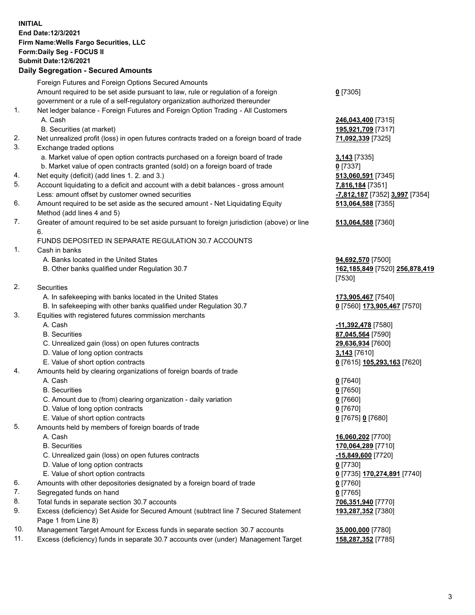**INITIAL End Date:12/3/2021 Firm Name:Wells Fargo Securities, LLC Form:Daily Seg - FOCUS II Submit Date:12/6/2021**

## **Daily Segregation - Secured Amounts**

|     | Foreign Futures and Foreign Options Secured Amounts                                         |                                |
|-----|---------------------------------------------------------------------------------------------|--------------------------------|
|     | Amount required to be set aside pursuant to law, rule or regulation of a foreign            | $0$ [7305]                     |
|     | government or a rule of a self-regulatory organization authorized thereunder                |                                |
| 1.  | Net ledger balance - Foreign Futures and Foreign Option Trading - All Customers             |                                |
|     | A. Cash                                                                                     | 246,043,400 [7315]             |
|     | B. Securities (at market)                                                                   | 195,921,709 [7317]             |
| 2.  | Net unrealized profit (loss) in open futures contracts traded on a foreign board of trade   | 71,092,339 [7325]              |
| 3.  | Exchange traded options                                                                     |                                |
|     | a. Market value of open option contracts purchased on a foreign board of trade              | 3,143 [7335]                   |
|     | b. Market value of open contracts granted (sold) on a foreign board of trade                | $0$ [7337]                     |
| 4.  | Net equity (deficit) (add lines 1. 2. and 3.)                                               | 513,060,591 [7345]             |
| 5.  | Account liquidating to a deficit and account with a debit balances - gross amount           | 7,816,184 [7351]               |
|     | Less: amount offset by customer owned securities                                            | -7,812,187 [7352] 3,997 [7354] |
| 6.  | Amount required to be set aside as the secured amount - Net Liquidating Equity              | 513,064,588 [7355]             |
|     | Method (add lines 4 and 5)                                                                  |                                |
| 7.  | Greater of amount required to be set aside pursuant to foreign jurisdiction (above) or line | 513,064,588 [7360]             |
|     | 6.                                                                                          |                                |
|     | FUNDS DEPOSITED IN SEPARATE REGULATION 30.7 ACCOUNTS                                        |                                |
| 1.  | Cash in banks                                                                               |                                |
|     | A. Banks located in the United States                                                       | 94,692,570 [7500]              |
|     | B. Other banks qualified under Regulation 30.7                                              | 162,185,849 [7520] 256,878,419 |
|     |                                                                                             | [7530]                         |
| 2.  | <b>Securities</b>                                                                           |                                |
|     | A. In safekeeping with banks located in the United States                                   | 173,905,467 [7540]             |
|     | B. In safekeeping with other banks qualified under Regulation 30.7                          | 0 [7560] 173,905,467 [7570]    |
| 3.  | Equities with registered futures commission merchants                                       |                                |
|     | A. Cash                                                                                     | -11,392,478 [7580]             |
|     | <b>B.</b> Securities                                                                        | 87,045,564 [7590]              |
|     | C. Unrealized gain (loss) on open futures contracts                                         | 29,636,934 [7600]              |
|     | D. Value of long option contracts                                                           | 3,143 [7610]                   |
|     | E. Value of short option contracts                                                          | 0 [7615] 105,293,163 [7620]    |
| 4.  | Amounts held by clearing organizations of foreign boards of trade                           |                                |
|     | A. Cash                                                                                     | $0$ [7640]                     |
|     | <b>B.</b> Securities                                                                        | $0$ [7650]                     |
|     | C. Amount due to (from) clearing organization - daily variation                             | $0$ [7660]                     |
|     | D. Value of long option contracts                                                           | $0$ [7670]                     |
|     | E. Value of short option contracts                                                          | 0 [7675] 0 [7680]              |
| 5.  | Amounts held by members of foreign boards of trade                                          |                                |
|     | A. Cash                                                                                     | 16,060,202 [7700]              |
|     | <b>B.</b> Securities                                                                        | 170,064,289 [7710]             |
|     | C. Unrealized gain (loss) on open futures contracts                                         | -15,849,600 [7720]             |
|     | D. Value of long option contracts                                                           | $0$ [7730]                     |
|     | E. Value of short option contracts                                                          | 0 [7735] 170,274,891 [7740]    |
| 6.  | Amounts with other depositories designated by a foreign board of trade                      | $0$ [7760]                     |
| 7.  | Segregated funds on hand                                                                    | $0$ [7765]                     |
| 8.  | Total funds in separate section 30.7 accounts                                               | 706,351,940 [7770]             |
| 9.  | Excess (deficiency) Set Aside for Secured Amount (subtract line 7 Secured Statement         | 193,287,352 [7380]             |
|     | Page 1 from Line 8)                                                                         |                                |
| 10. | Management Target Amount for Excess funds in separate section 30.7 accounts                 | 35,000,000 [7780]              |

11. Excess (deficiency) funds in separate 30.7 accounts over (under) Management Target **158,287,352** [7785]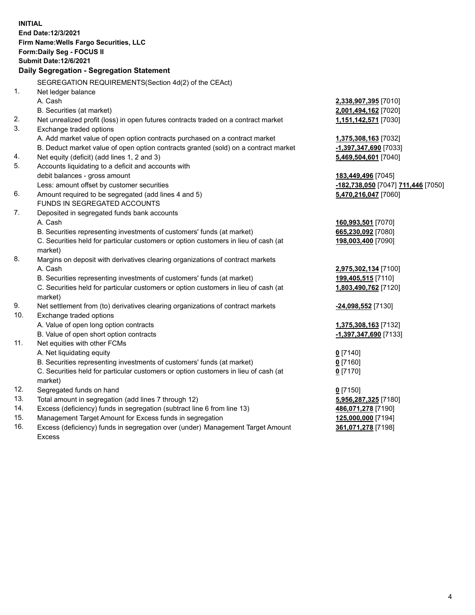**INITIAL End Date:12/3/2021 Firm Name:Wells Fargo Securities, LLC Form:Daily Seg - FOCUS II Submit Date:12/6/2021 Daily Segregation - Segregation Statement** SEGREGATION REQUIREMENTS(Section 4d(2) of the CEAct) 1. Net ledger balance A. Cash **2,338,907,395** [7010] B. Securities (at market) **2,001,494,162** [7020] 2. Net unrealized profit (loss) in open futures contracts traded on a contract market **1,151,142,571** [7030] 3. Exchange traded options A. Add market value of open option contracts purchased on a contract market **1,375,308,163** [7032] B. Deduct market value of open option contracts granted (sold) on a contract market **-1,397,347,690** [7033] 4. Net equity (deficit) (add lines 1, 2 and 3) **5,469,504,601** [7040] 5. Accounts liquidating to a deficit and accounts with debit balances - gross amount **183,449,496** [7045] Less: amount offset by customer securities **-182,738,050** [7047] **711,446** [7050] 6. Amount required to be segregated (add lines 4 and 5) **5,470,216,047** [7060] FUNDS IN SEGREGATED ACCOUNTS 7. Deposited in segregated funds bank accounts A. Cash **160,993,501** [7070] B. Securities representing investments of customers' funds (at market) **665,230,092** [7080] C. Securities held for particular customers or option customers in lieu of cash (at market) **198,003,400** [7090] 8. Margins on deposit with derivatives clearing organizations of contract markets A. Cash **2,975,302,134** [7100] B. Securities representing investments of customers' funds (at market) **199,405,515** [7110] C. Securities held for particular customers or option customers in lieu of cash (at market) **1,803,490,762** [7120] 9. Net settlement from (to) derivatives clearing organizations of contract markets **-24,098,552** [7130] 10. Exchange traded options A. Value of open long option contracts **1,375,308,163** [7132] B. Value of open short option contracts **-1,397,347,690** [7133] 11. Net equities with other FCMs A. Net liquidating equity **0** [7140] B. Securities representing investments of customers' funds (at market) **0** [7160] C. Securities held for particular customers or option customers in lieu of cash (at market) **0** [7170] 12. Segregated funds on hand **0** [7150] 13. Total amount in segregation (add lines 7 through 12) **5,956,287,325** [7180] 14. Excess (deficiency) funds in segregation (subtract line 6 from line 13) **486,071,278** [7190]

- 15. Management Target Amount for Excess funds in segregation **125,000,000** [7194]
- 16. Excess (deficiency) funds in segregation over (under) Management Target Amount Excess

**361,071,278** [7198]